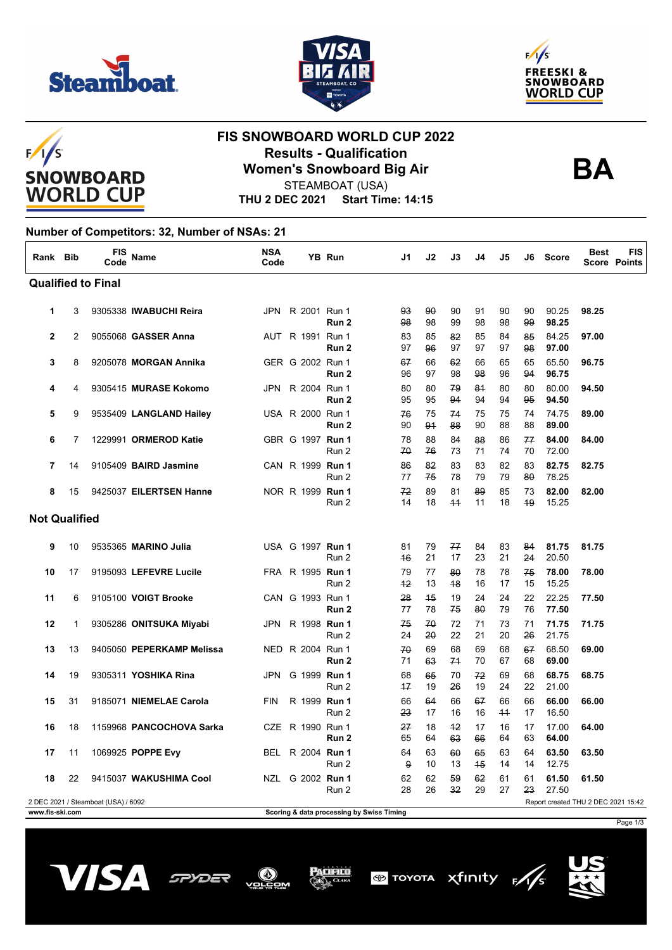





 $F/I/S$ **SNOWBOARD WORLD CUP** 

## **FIS SNOWBOARD WORLD CUP 2022 Results - Qualification Women's Snowboard Big Air**



STEAMBOAT (USA)

**THU 2 DEC 2021 Start Time: 14:15**

## **Number of Competitors: 32, Number of NSAs: 21**

| Rank Bib                                                                   |    | <b>FIS</b><br>Code | <b>Name</b>               | <b>NSA</b><br>Code |  | YB Run                               | J1       | J2       | J3         | J4       | J5         | J6       | Score          | <b>Best</b> | <b>FIS</b><br><b>Score Points</b> |
|----------------------------------------------------------------------------|----|--------------------|---------------------------|--------------------|--|--------------------------------------|----------|----------|------------|----------|------------|----------|----------------|-------------|-----------------------------------|
| <b>Qualified to Final</b>                                                  |    |                    |                           |                    |  |                                      |          |          |            |          |            |          |                |             |                                   |
| 1                                                                          | 3  |                    | 9305338 IWABUCHI Reira    |                    |  | JPN R 2001 Run 1<br>Run <sub>2</sub> | 93<br>98 | 90<br>98 | 90<br>99   | 91<br>98 | 90<br>98   | 90<br>99 | 90.25<br>98.25 | 98.25       |                                   |
| $\mathbf{2}$                                                               | 2  |                    | 9055068 GASSER Anna       |                    |  | AUT R 1991 Run 1<br>Run <sub>2</sub> | 83<br>97 | 85<br>96 | 82<br>97   | 85<br>97 | 84<br>97   | 85<br>98 | 84.25<br>97.00 | 97.00       |                                   |
| 3                                                                          | 8  |                    | 9205078 MORGAN Annika     |                    |  | GER G 2002 Run 1<br>Run <sub>2</sub> | 67<br>96 | 66<br>97 | 62<br>98   | 66<br>98 | 65<br>96   | 65<br>94 | 65.50<br>96.75 | 96.75       |                                   |
| 4                                                                          | 4  |                    | 9305415 MURASE Kokomo     |                    |  | JPN R 2004 Run 1<br>Run 2            | 80<br>95 | 80<br>95 | 79<br>94   | 81<br>94 | 80<br>94   | 80<br>95 | 80.00<br>94.50 | 94.50       |                                   |
| 5                                                                          | 9  |                    | 9535409 LANGLAND Hailey   |                    |  | USA R 2000 Run 1<br>Run 2            | 76<br>90 | 75<br>91 | 74<br>88   | 75<br>90 | 75<br>88   | 74<br>88 | 74.75<br>89.00 | 89.00       |                                   |
| 6                                                                          | 7  |                    | 1229991 ORMEROD Katie     |                    |  | GBR G 1997 Run 1<br>Run 2            | 78<br>70 | 88<br>76 | 84<br>73   | 88<br>71 | 86<br>74   | 77<br>70 | 84.00<br>72.00 | 84.00       |                                   |
| 7                                                                          | 14 |                    | 9105409 BAIRD Jasmine     |                    |  | CAN R 1999 Run 1<br>Run 2            | 86<br>77 | 82<br>75 | 83<br>78   | 83<br>79 | 82<br>79   | 83<br>80 | 82.75<br>78.25 | 82.75       |                                   |
| 8                                                                          | 15 |                    | 9425037 EILERTSEN Hanne   |                    |  | NOR R 1999 Run 1<br>Run 2            | 72<br>14 | 89<br>18 | 81<br>$+4$ | 89<br>11 | 85<br>18   | 73<br>49 | 82.00<br>15.25 | 82.00       |                                   |
| <b>Not Qualified</b>                                                       |    |                    |                           |                    |  |                                      |          |          |            |          |            |          |                |             |                                   |
| 9                                                                          | 10 |                    | 9535365 MARINO Julia      |                    |  | USA G 1997 Run 1<br>Run 2            | 81<br>46 | 79<br>21 | 77<br>17   | 84<br>23 | 83<br>21   | 84<br>24 | 81.75<br>20.50 | 81.75       |                                   |
| 10                                                                         | 17 |                    | 9195093 LEFEVRE Lucile    |                    |  | FRA R 1995 <b>Run 1</b><br>Run 2     | 79<br>42 | 77<br>13 | 80<br>48   | 78<br>16 | 78<br>17   | 75<br>15 | 78.00<br>15.25 | 78.00       |                                   |
| 11                                                                         | 6  |                    | 9105100 VOIGT Brooke      |                    |  | CAN G 1993 Run 1<br>Run 2            | 28<br>77 | 45<br>78 | 19<br>75   | 24<br>80 | 24<br>79   | 22<br>76 | 22.25<br>77.50 | 77.50       |                                   |
| 12                                                                         | 1  |                    | 9305286 ONITSUKA Miyabi   |                    |  | JPN R 1998 Run 1<br>Run 2            | 75<br>24 | 70<br>20 | 72<br>22   | 71<br>21 | 73<br>20   | 71<br>26 | 71.75<br>21.75 | 71.75       |                                   |
| 13                                                                         | 13 |                    | 9405050 PEPERKAMP Melissa |                    |  | NED R 2004 Run 1<br>Run 2            | 70<br>71 | 69<br>63 | 68<br>74   | 69<br>70 | 68<br>67   | 67<br>68 | 68.50<br>69.00 | 69.00       |                                   |
| 14                                                                         | 19 |                    | 9305311 YOSHIKA Rina      | JPN                |  | G 1999 Run 1<br>Run 2                | 68<br>17 | 65<br>19 | 70<br>26   | 72<br>19 | 69<br>24   | 68<br>22 | 68.75<br>21.00 | 68.75       |                                   |
| 15                                                                         | 31 |                    | 9185071 NIEMELAE Carola   | <b>FIN</b>         |  | R 1999 Run 1<br>Run 2                | 66<br>23 | 64<br>17 | 66<br>16   | 67<br>16 | 66<br>$+4$ | 66<br>17 | 66.00<br>16.50 | 66.00       |                                   |
| 16                                                                         | 18 |                    | 1159968 PANCOCHOVA Sarka  | <b>CZE</b>         |  | R 1990 Run 1<br>Run 2                | 27<br>65 | 18<br>64 | $+2$<br>63 | 17<br>66 | 16<br>64   | 17<br>63 | 17.00<br>64.00 | 64.00       |                                   |
| 17                                                                         | 11 |                    | 1069925 POPPE Evy         |                    |  | BEL R 2004 Run 1<br>Run 2            | 64<br>9  | 63<br>10 | 60<br>13   | 65<br>45 | 63<br>14   | 64<br>14 | 63.50<br>12.75 | 63.50       |                                   |
| 18                                                                         | 22 |                    | 9415037 WAKUSHIMA Cool    |                    |  | NZL G 2002 Run 1<br>Run 2            | 62<br>28 | 62<br>26 | 59<br>32   | 62<br>29 | 61<br>27   | 61<br>23 | 61.50<br>27.50 | 61.50       |                                   |
| 2 DEC 2021 / Steamboat (USA) / 6092<br>Report created THU 2 DEC 2021 15:42 |    |                    |                           |                    |  |                                      |          |          |            |          |            |          |                |             |                                   |

**www.fis-ski.com Scoring & data processing by Swiss Timing**

Page 1/3







Acifico





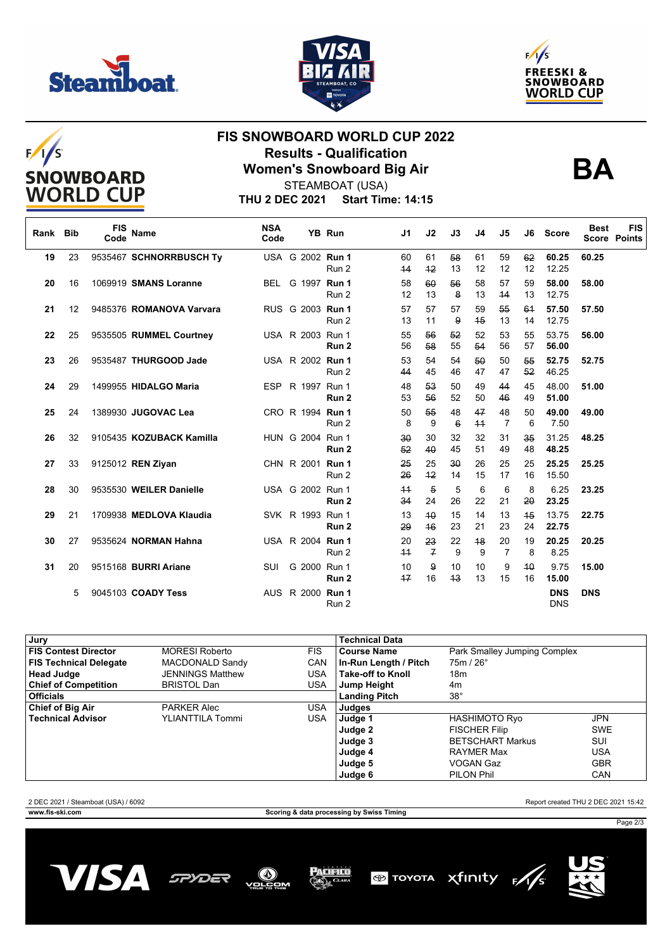







## **FIS SNOWBOARD WORLD CUP 2022 Results - Qualification Women's Snowboard Big Air**



**THU 2 DEC 2021 Start Time: 14:15** STEAMBOAT (USA)

| Rank Bib |    | <b>FIS</b><br>Code | <b>Name</b>              | <b>NSA</b><br>Code |                         | <b>YB Run</b>    | J1         | J2                   | J3       | J4         | J5       | J6       | <b>Score</b>             | <b>Best</b><br><b>Score Points</b> | <b>FIS</b> |
|----------|----|--------------------|--------------------------|--------------------|-------------------------|------------------|------------|----------------------|----------|------------|----------|----------|--------------------------|------------------------------------|------------|
| 19       | 23 |                    | 9535467 SCHNORRBUSCH Ty  |                    | USA G 2002 Run 1        | Run 2            | 60<br>44   | 61<br>42             | 58<br>13 | 61<br>12   | 59<br>12 | 62<br>12 | 60.25<br>12.25           | 60.25                              |            |
| 20       | 16 |                    | 1069919 SMANS Loranne    | BEL                | G 1997 Run 1            | Run 2            | 58<br>12   | 60<br>13             | 56<br>8  | 58<br>13   | 57<br>44 | 59<br>13 | 58.00<br>12.75           | 58.00                              |            |
| 21       | 12 |                    | 9485376 ROMANOVA Varvara |                    | RUS G 2003 Run 1        | Run 2            | 57<br>13   | 57<br>11             | 57<br>9  | 59<br>45   | 55<br>13 | 64<br>14 | 57.50<br>12.75           | 57.50                              |            |
| 22       | 25 |                    | 9535505 RUMMEL Courtney  |                    | USA R 2003 Run 1        | Run <sub>2</sub> | 55<br>56   | 56<br>58             | 52<br>55 | 52<br>54   | 53<br>56 | 55<br>57 | 53.75<br>56.00           | 56.00                              |            |
| 23       | 26 |                    | 9535487 THURGOOD Jade    |                    | USA R 2002 Run 1        | Run 2            | 53<br>44   | 54<br>45             | 54<br>46 | 50<br>47   | 50<br>47 | 55<br>52 | 52.75<br>46.25           | 52.75                              |            |
| 24       | 29 |                    | 1499955 HIDALGO Maria    | <b>ESP</b>         | R 1997 Run 1            | Run 2            | 48<br>53   | 53<br>56             | 50<br>52 | 49<br>50   | 44<br>46 | 45<br>49 | 48.00<br>51.00           | 51.00                              |            |
| 25       | 24 |                    | 1389930 JUGOVAC Lea      |                    | CRO R 1994 Run 1        | Run 2            | 50<br>8    | 55<br>9              | 48<br>6  | 47<br>$+4$ | 48<br>7  | 50<br>6  | 49.00<br>7.50            | 49.00                              |            |
| 26       | 32 |                    | 9105435 KOZUBACK Kamilla |                    | HUN G 2004 Run 1        | Run 2            | 30<br>52   | 30<br>40             | 32<br>45 | 32<br>51   | 31<br>49 | 35<br>48 | 31.25<br>48.25           | 48.25                              |            |
| 27       | 33 |                    | 9125012 REN Ziyan        |                    | CHN R 2001 Run 1        | Run 2            | 25<br>26   | 25<br>$+2$           | 30<br>14 | 26<br>15   | 25<br>17 | 25<br>16 | 25.25<br>15.50           | 25.25                              |            |
| 28       | 30 |                    | 9535530 WEILER Danielle  |                    | USA G 2002 Run 1        | Run <sub>2</sub> | $+4$<br>34 | $\overline{5}$<br>24 | 5<br>26  | 6<br>22    | 6<br>21  | 8<br>20  | 6.25<br>23.25            | 23.25                              |            |
| 29       | 21 |                    | 1709938 MEDLOVA Klaudia  |                    | SVK R 1993 Run 1        | Run 2            | 13<br>29   | 40<br>46             | 15<br>23 | 14<br>21   | 13<br>23 | 45<br>24 | 13.75<br>22.75           | 22.75                              |            |
| 30       | 27 |                    | 9535624 NORMAN Hahna     |                    | USA R 2004 Run 1        | Run 2            | 20<br>$+4$ | 23<br>$\overline{f}$ | 22<br>9  | 48<br>9    | 20<br>7  | 19<br>8  | 20.25<br>8.25            | 20.25                              |            |
| 31       | 20 |                    | 9515168 BURRI Ariane     | SUI                | G 2000 Run 1            | Run 2            | 10<br>17   | 9<br>16              | 10<br>43 | 10<br>13   | 9<br>15  | 40<br>16 | 9.75<br>15.00            | 15.00                              |            |
|          | 5  |                    | 9045103 COADY Tess       |                    | AUS R 2000 <b>Run 1</b> | Run 2            |            |                      |          |            |          |          | <b>DNS</b><br><b>DNS</b> | <b>DNS</b>                         |            |

| Jury                          |                         |            | <b>Technical Data</b>    |                              |            |  |  |
|-------------------------------|-------------------------|------------|--------------------------|------------------------------|------------|--|--|
| <b>FIS Contest Director</b>   | <b>MORESI Roberto</b>   | <b>FIS</b> | <b>Course Name</b>       | Park Smalley Jumping Complex |            |  |  |
| <b>FIS Technical Delegate</b> | MACDONALD Sandy         | CAN        | In-Run Length / Pitch    | $75m/26^\circ$               |            |  |  |
| Head Judge                    | <b>JENNINGS Matthew</b> | USA        | <b>Take-off to Knoll</b> | 18m                          |            |  |  |
| <b>Chief of Competition</b>   | <b>BRISTOL Dan</b>      | USA        | Jump Height              | 4m                           |            |  |  |
| Officials                     |                         |            | <b>Landing Pitch</b>     | $38^\circ$                   |            |  |  |
| <b>Chief of Big Air</b>       | <b>PARKER Alec</b>      | USA        | Judges                   |                              |            |  |  |
| <b>Technical Advisor</b>      | YLIANTTILA Tommi        | USA        | Judge 1                  | <b>HASHIMOTO Ryo</b>         | <b>JPN</b> |  |  |
|                               |                         |            | Judge 2                  | <b>FISCHER Filip</b>         | <b>SWE</b> |  |  |
|                               |                         |            | Judge 3                  | <b>BETSCHART Markus</b>      | SUI        |  |  |
|                               |                         |            | Judge 4                  | <b>RAYMER Max</b>            | USA        |  |  |
|                               |                         |            | Judge 5                  | <b>VOGAN Gaz</b>             | <b>GBR</b> |  |  |
|                               |                         |            | Judge 6                  | PILON Phil                   | CAN        |  |  |

2 DEC 2021 / Steamboat (USA) / 6092 Report created THU 2 DEC 2021 15:42

**www.fis-ski.com Scoring & data processing by Swiss Timing**

Page 2/3





Pacifico

ОM